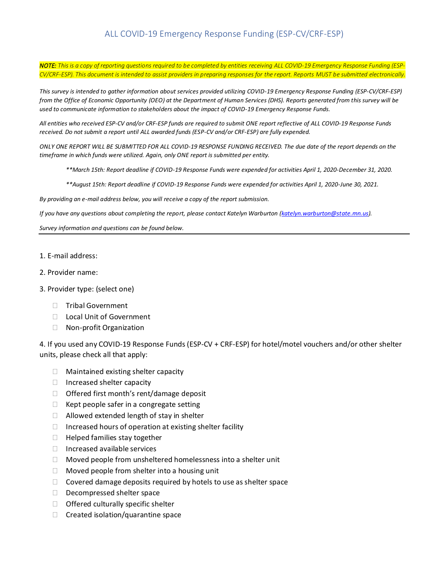*NOTE: This is a copy of reporting questions required to be completed by entities receiving ALL COVID-19 Emergency Response Funding (ESP-CV/CRF-ESP). This document is intended to assist providers in preparing responses for the report. Reports MUST be submitted electronically.*

*This survey is intended to gather information about services provided utilizing COVID-19 Emergency Response Funding (ESP-CV/CRF-ESP) from the Office of Economic Opportunity (OEO) at the Department of Human Services (DHS). Reports generated from this survey will be used to communicate information to stakeholders about the impact of COVID-19 Emergency Response Funds.* 

*All entities who received ESP-CV and/or CRF-ESP funds are required to submit ONE report reflective of ALL COVID-19 Response Funds received. Do not submit a report until ALL awarded funds (ESP-CV and/or CRF-ESP) are fully expended.* 

*ONLY ONE REPORT WILL BE SUBMITTED FOR ALL COVID-19 RESPONSE FUNDING RECEIVED. The due date of the report depends on the timeframe in which funds were utilized. Again, only ONE report is submitted per entity.* 

- *\*\*March 15th: Report deadline if COVID-19 Response Funds were expended for activities April 1, 2020-December 31, 2020.*
- *\*\*August 15th: Report deadline if COVID-19 Response Funds were expended for activities April 1, 2020-June 30, 2021.*

*By providing an e-mail address below, you will receive a copy of the report submission.*

*If you have any questions about completing the report, please contact Katelyn Warburton [\(katelyn.warburton@state.mn.us\)](mailto:katelyn.warburton@state.mn.us)*.

*Survey information and questions can be found below.*

- 1. E-mail address:
- 2. Provider name:
- 3. Provider type: (select one)
	- □ Tribal Government
	- □ Local Unit of Government
	- □ Non-profit Organization

4. If you used any COVID-19 Response Funds (ESP-CV + CRF-ESP) for hotel/motel vouchers and/or other shelter units, please check all that apply:

- □ Maintained existing shelter capacity
- $\Box$  Increased shelter capacity
- $\Box$  Offered first month's rent/damage deposit
- $\Box$  Kept people safer in a congregate setting
- $\Box$  Allowed extended length of stay in shelter
- $\Box$  Increased hours of operation at existing shelter facility
- $\Box$  Helped families stay together
- $\Box$  Increased available services
- $\Box$  Moved people from unsheltered homelessness into a shelter unit
- $\Box$  Moved people from shelter into a housing unit
- $\Box$  Covered damage deposits required by hotels to use as shelter space
- Decompressed shelter space
- $\Box$  Offered culturally specific shelter
- $\Box$  Created isolation/quarantine space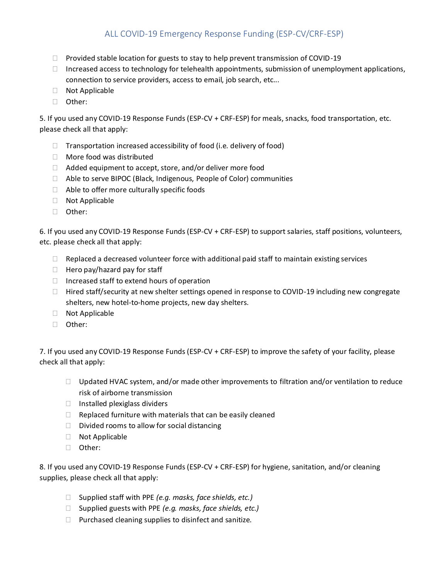- $\Box$  Provided stable location for guests to stay to help prevent transmission of COVID-19
- $\Box$  Increased access to technology for telehealth appointments, submission of unemployment applications, connection to service providers, access to email, job search, etc...
- □ Not Applicable
- Other:

5. If you used any COVID-19 Response Funds (ESP-CV + CRF-ESP) for meals, snacks, food transportation, etc. please check all that apply:

- $\Box$  Transportation increased accessibility of food (i.e. delivery of food)
- □ More food was distributed
- $\Box$  Added equipment to accept, store, and/or deliver more food
- Able to serve BIPOC (Black, Indigenous, People of Color) communities
- $\Box$  Able to offer more culturally specific foods
- □ Not Applicable
- Other:

6. If you used any COVID-19 Response Funds (ESP-CV + CRF-ESP) to support salaries, staff positions, volunteers, etc. please check all that apply:

- $\Box$  Replaced a decreased volunteer force with additional paid staff to maintain existing services
- $\Box$  Hero pay/hazard pay for staff
- $\Box$  Increased staff to extend hours of operation
- $\Box$  Hired staff/security at new shelter settings opened in response to COVID-19 including new congregate shelters, new hotel-to-home projects, new day shelters.
- Not Applicable
- □ Other:

7. If you used any COVID-19 Response Funds (ESP-CV + CRF-ESP) to improve the safety of your facility, please check all that apply:

- $\Box$  Updated HVAC system, and/or made other improvements to filtration and/or ventilation to reduce risk of airborne transmission
- $\Box$  Installed plexiglass dividers
- $\Box$  Replaced furniture with materials that can be easily cleaned
- $\Box$  Divided rooms to allow for social distancing
- Not Applicable
- Other:

8. If you used any COVID-19 Response Funds (ESP-CV + CRF-ESP) for hygiene, sanitation, and/or cleaning supplies, please check all that apply:

- □ Supplied staff with PPE *(e.g. masks, face shields, etc.)*
- □ Supplied guests with PPE *(e.g. masks, face shields, etc.)*
- $\Box$  Purchased cleaning supplies to disinfect and sanitize.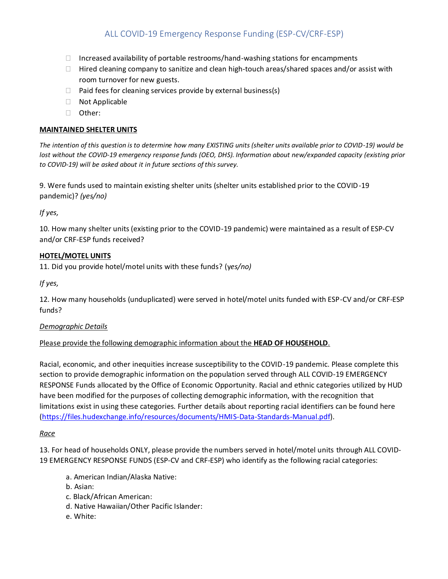- $\Box$  Increased availability of portable restrooms/hand-washing stations for encampments
- $\Box$  Hired cleaning company to sanitize and clean high-touch areas/shared spaces and/or assist with room turnover for new guests.
- $\Box$  Paid fees for cleaning services provide by external business(s)
- Not Applicable
- Other:

#### **MAINTAINED SHELTER UNITS**

*The intention of this question is to determine how many EXISTING units (shelter units available prior to COVID-19) would be lost without the COVID-19 emergency response funds (OEO, DHS). Information about new/expanded capacity (existing prior to COVID-19) will be asked about it in future sections of this survey.* 

9. Were funds used to maintain existing shelter units (shelter units established prior to the COVID-19 pandemic)? *(yes/no)*

*If yes,*

10. How many shelter units (existing prior to the COVID-19 pandemic) were maintained as a result of ESP-CV and/or CRF-ESP funds received?

#### **HOTEL/MOTEL UNITS**

11. Did you provide hotel/motel units with these funds? (y*es/no)*

*If yes,*

12. How many households (unduplicated) were served in hotel/motel units funded with ESP-CV and/or CRF-ESP funds?

#### *Demographic Details*

#### Please provide the following demographic information about the **HEAD OF HOUSEHOLD**.

Racial, economic, and other inequities increase susceptibility to the COVID-19 pandemic. Please complete this section to provide demographic information on the population served through ALL COVID-19 EMERGENCY RESPONSE Funds allocated by the Office of Economic Opportunity. Racial and ethnic categories utilized by HUD have been modified for the purposes of collecting demographic information, with the recognition that limitations exist in using these categories. Further details about reporting racial identifiers can be found here [\(https://files.hudexchange.info/resources/documents/HMIS-Data-Standards-Manual.pdf\)](https://files.hudexchange.info/resources/documents/HMIS-Data-Standards-Manual.pdf).

#### *Race*

13. For head of households ONLY, please provide the numbers served in hotel/motel units through ALL COVID-19 EMERGENCY RESPONSE FUNDS (ESP-CV and CRF-ESP) who identify as the following racial categories:

- a. American Indian/Alaska Native:
- b. Asian:
- c. Black/African American:
- d. Native Hawaiian/Other Pacific Islander:
- e. White: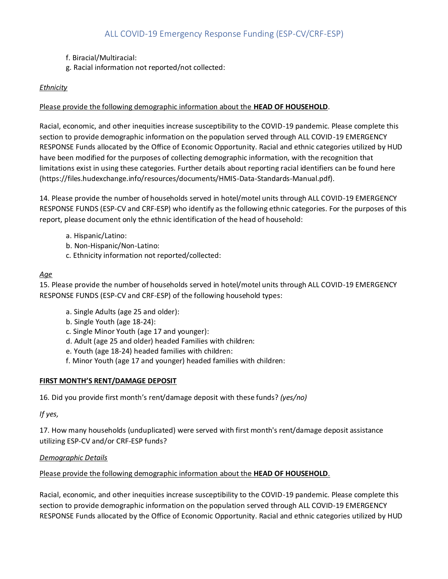- f. Biracial/Multiracial:
- g. Racial information not reported/not collected:

## *Ethnicity*

## Please provide the following demographic information about the **HEAD OF HOUSEHOLD**.

Racial, economic, and other inequities increase susceptibility to the COVID-19 pandemic. Please complete this section to provide demographic information on the population served through ALL COVID-19 EMERGENCY RESPONSE Funds allocated by the Office of Economic Opportunity. Racial and ethnic categories utilized by HUD have been modified for the purposes of collecting demographic information, with the recognition that limitations exist in using these categories. Further details about reporting racial identifiers can be found here (https://files.hudexchange.info/resources/documents/HMIS-Data-Standards-Manual.pdf).

14. Please provide the number of households served in hotel/motel units through ALL COVID-19 EMERGENCY RESPONSE FUNDS (ESP-CV and CRF-ESP) who identify as the following ethnic categories. For the purposes of this report, please document only the ethnic identification of the head of household:

- a. Hispanic/Latino:
- b. Non-Hispanic/Non-Latino:
- c. Ethnicity information not reported/collected:

#### *Age*

15. Please provide the number of households served in hotel/motel units through ALL COVID-19 EMERGENCY RESPONSE FUNDS (ESP-CV and CRF-ESP) of the following household types:

- a. Single Adults (age 25 and older):
- b. Single Youth (age 18-24):
- c. Single Minor Youth (age 17 and younger):
- d. Adult (age 25 and older) headed Families with children:
- e. Youth (age 18-24) headed families with children:
- f. Minor Youth (age 17 and younger) headed families with children:

#### **FIRST MONTH'S RENT/DAMAGE DEPOSIT**

16. Did you provide first month's rent/damage deposit with these funds? *(yes/no)*

*If yes,*

17. How many households (unduplicated) were served with first month's rent/damage deposit assistance utilizing ESP-CV and/or CRF-ESP funds?

#### *Demographic Details*

Please provide the following demographic information about the **HEAD OF HOUSEHOLD**.

Racial, economic, and other inequities increase susceptibility to the COVID-19 pandemic. Please complete this section to provide demographic information on the population served through ALL COVID-19 EMERGENCY RESPONSE Funds allocated by the Office of Economic Opportunity. Racial and ethnic categories utilized by HUD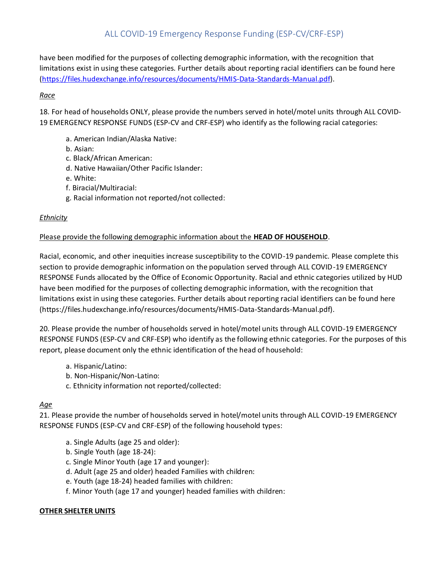have been modified for the purposes of collecting demographic information, with the recognition that limitations exist in using these categories. Further details about reporting racial identifiers can be found here [\(https://files.hudexchange.info/resources/documents/HMIS-Data-Standards-Manual.pdf\)](https://files.hudexchange.info/resources/documents/HMIS-Data-Standards-Manual.pdf).

# *Race*

18. For head of households ONLY, please provide the numbers served in hotel/motel units through ALL COVID-19 EMERGENCY RESPONSE FUNDS (ESP-CV and CRF-ESP) who identify as the following racial categories:

- a. American Indian/Alaska Native:
- b. Asian:
- c. Black/African American:
- d. Native Hawaiian/Other Pacific Islander:
- e. White:
- f. Biracial/Multiracial:
- g. Racial information not reported/not collected:

## *Ethnicity*

# Please provide the following demographic information about the **HEAD OF HOUSEHOLD**.

Racial, economic, and other inequities increase susceptibility to the COVID-19 pandemic. Please complete this section to provide demographic information on the population served through ALL COVID-19 EMERGENCY RESPONSE Funds allocated by the Office of Economic Opportunity. Racial and ethnic categories utilized by HUD have been modified for the purposes of collecting demographic information, with the recognition that limitations exist in using these categories. Further details about reporting racial identifiers can be found here (https://files.hudexchange.info/resources/documents/HMIS-Data-Standards-Manual.pdf).

20. Please provide the number of households served in hotel/motel units through ALL COVID-19 EMERGENCY RESPONSE FUNDS (ESP-CV and CRF-ESP) who identify as the following ethnic categories. For the purposes of this report, please document only the ethnic identification of the head of household:

- a. Hispanic/Latino:
- b. Non-Hispanic/Non-Latino:
- c. Ethnicity information not reported/collected:

# *Age*

21. Please provide the number of households served in hotel/motel units through ALL COVID-19 EMERGENCY RESPONSE FUNDS (ESP-CV and CRF-ESP) of the following household types:

- a. Single Adults (age 25 and older):
- b. Single Youth (age 18-24):
- c. Single Minor Youth (age 17 and younger):
- d. Adult (age 25 and older) headed Families with children:
- e. Youth (age 18-24) headed families with children:
- f. Minor Youth (age 17 and younger) headed families with children:

#### **OTHER SHELTER UNITS**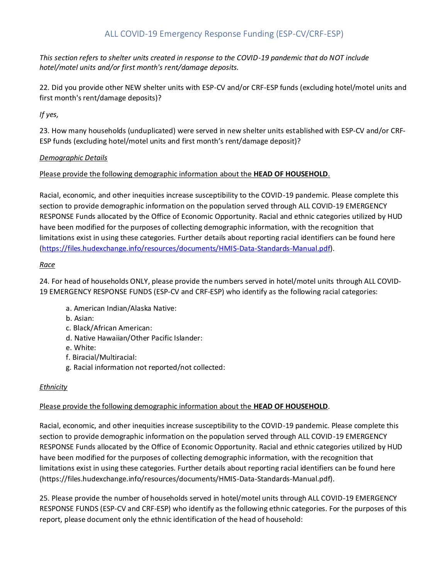*This section refers to shelter units created in response to the COVID-19 pandemic that do NOT include hotel/motel units and/or first month's rent/damage deposits.*

22. Did you provide other NEW shelter units with ESP-CV and/or CRF-ESP funds (excluding hotel/motel units and first month's rent/damage deposits)?

# *If yes,*

23. How many households (unduplicated) were served in new shelter units established with ESP-CV and/or CRF-ESP funds (excluding hotel/motel units and first month's rent/damage deposit)?

## *Demographic Details*

## Please provide the following demographic information about the **HEAD OF HOUSEHOLD**.

Racial, economic, and other inequities increase susceptibility to the COVID-19 pandemic. Please complete this section to provide demographic information on the population served through ALL COVID-19 EMERGENCY RESPONSE Funds allocated by the Office of Economic Opportunity. Racial and ethnic categories utilized by HUD have been modified for the purposes of collecting demographic information, with the recognition that limitations exist in using these categories. Further details about reporting racial identifiers can be found here [\(https://files.hudexchange.info/resources/documents/HMIS-Data-Standards-Manual.pdf\)](https://files.hudexchange.info/resources/documents/HMIS-Data-Standards-Manual.pdf).

## *Race*

24. For head of households ONLY, please provide the numbers served in hotel/motel units through ALL COVID-19 EMERGENCY RESPONSE FUNDS (ESP-CV and CRF-ESP) who identify as the following racial categories:

- a. American Indian/Alaska Native:
- b. Asian:
- c. Black/African American:
- d. Native Hawaiian/Other Pacific Islander:
- e. White:
- f. Biracial/Multiracial:
- g. Racial information not reported/not collected:

#### *Ethnicity*

# Please provide the following demographic information about the **HEAD OF HOUSEHOLD**.

Racial, economic, and other inequities increase susceptibility to the COVID-19 pandemic. Please complete this section to provide demographic information on the population served through ALL COVID-19 EMERGENCY RESPONSE Funds allocated by the Office of Economic Opportunity. Racial and ethnic categories utilized by HUD have been modified for the purposes of collecting demographic information, with the recognition that limitations exist in using these categories. Further details about reporting racial identifiers can be found here (https://files.hudexchange.info/resources/documents/HMIS-Data-Standards-Manual.pdf).

25. Please provide the number of households served in hotel/motel units through ALL COVID-19 EMERGENCY RESPONSE FUNDS (ESP-CV and CRF-ESP) who identify as the following ethnic categories. For the purposes of this report, please document only the ethnic identification of the head of household: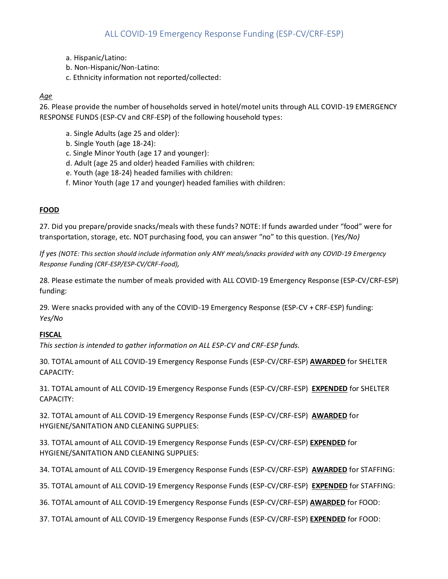- a. Hispanic/Latino:
- b. Non-Hispanic/Non-Latino:
- c. Ethnicity information not reported/collected:

## *Age*

26. Please provide the number of households served in hotel/motel units through ALL COVID-19 EMERGENCY RESPONSE FUNDS (ESP-CV and CRF-ESP) of the following household types:

- a. Single Adults (age 25 and older):
- b. Single Youth (age 18-24):
- c. Single Minor Youth (age 17 and younger):
- d. Adult (age 25 and older) headed Families with children:
- e. Youth (age 18-24) headed families with children:
- f. Minor Youth (age 17 and younger) headed families with children:

## **FOOD**

27. Did you prepare/provide snacks/meals with these funds? NOTE: If funds awarded under "food" were for transportation, storage, etc. NOT purchasing food, you can answer "no" to this question. (*Yes/No)*

*If yes (NOTE: This section should include information only ANY meals/snacks provided with any COVID-19 Emergency Response Funding (CRF-ESP/ESP-CV/CRF-Food),*

28. Please estimate the number of meals provided with ALL COVID-19 Emergency Response (ESP-CV/CRF-ESP) funding:

29. Were snacks provided with any of the COVID-19 Emergency Response (ESP-CV + CRF-ESP) funding: *Yes/No*

#### **FISCAL**

*This section is intended to gather information on ALL ESP-CV and CRF-ESP funds.*

30. TOTAL amount of ALL COVID-19 Emergency Response Funds (ESP-CV/CRF-ESP) **AWARDED** for SHELTER CAPACITY:

31. TOTAL amount of ALL COVID-19 Emergency Response Funds (ESP-CV/CRF-ESP) **EXPENDED** for SHELTER CAPACITY:

32. TOTAL amount of ALL COVID-19 Emergency Response Funds (ESP-CV/CRF-ESP) **AWARDED** for HYGIENE/SANITATION AND CLEANING SUPPLIES:

33. TOTAL amount of ALL COVID-19 Emergency Response Funds (ESP-CV/CRF-ESP) **EXPENDED** for HYGIENE/SANITATION AND CLEANING SUPPLIES:

34. TOTAL amount of ALL COVID-19 Emergency Response Funds (ESP-CV/CRF-ESP) **AWARDED** for STAFFING:

35. TOTAL amount of ALL COVID-19 Emergency Response Funds (ESP-CV/CRF-ESP) **EXPENDED** for STAFFING:

36. TOTAL amount of ALL COVID-19 Emergency Response Funds (ESP-CV/CRF-ESP) **AWARDED** for FOOD:

37. TOTAL amount of ALL COVID-19 Emergency Response Funds (ESP-CV/CRF-ESP) **EXPENDED** for FOOD: